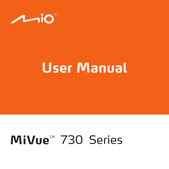

# **User Manual**

# MiVue<sup>™</sup> 730 Series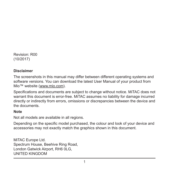Revision: R00 (10/2017)

#### **Disclaimer**

The screenshots in this manual may differ between different operating systems and software versions. You can download the latest User Manual of your product from Mio™ website (www.mio.com).

Specifications and documents are subject to change without notice. MiTAC does not warrant this document is error-free. MiTAC assumes no liability for damage incurred directly or indirectly from errors, omissions or discrepancies between the device and the documents.

#### **Note**

Not all models are available in all regions.

Depending on the specific model purchased, the colour and look of your device and accessories may not exactly match the graphics shown in this document.

MiTAC Europe Ltd. Spectrum House, Beehive Ring Road, London Gatwick Airport, RH6 0LG, UNITED KINGDOM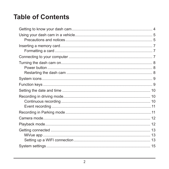### **Table of Contents**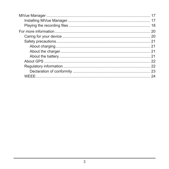| 22 |
|----|
|    |
| 23 |
| 24 |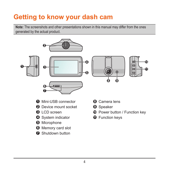# **Getting to know your dash cam**

**Note:** The screenshots and other presentations shown in this manual may differ from the ones generated by the actual product.



- Memory card slot
- Shutdown button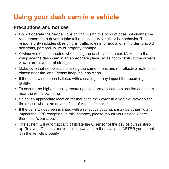# **Using your dash cam in a vehicle**

### **Precautions and notices**

- Do not operate the device while driving. Using this product does not change the requirement for a driver to take full responsibility for his or her behavior. This responsibility includes observing all traffic rules and regulations in order to avoid accidents, personal injury or property damage.
- A window mount is needed when using the dash cam in a car. Make sure that you place the dash cam in an appropriate place, so as not to obstruct the driver's view or deployment of airbags.
- Make sure that no object is blocking the camera lens and no reflective material is placed near the lens. Please keep the lens clean.
- If the car's windscreen is tinted with a coating, it may impact the recording quality.
- To ensure the highest quality recordings, you are advised to place the dash cam near the rear view mirror.
- Select an appropriate location for mounting the device in a vehicle. Never place the device where the driver's field of vision is blocked.
- If the car's windscreen is tinted with a reflective coating, it may be athermic and impact the GPS reception. In this instance, please mount your device where there is a "clear area."
- The system will automatically calibrate the G sensor of the device during startup. To avoid G sensor malfunction, always turn the device on AFTER you mount it in the vehicle properly.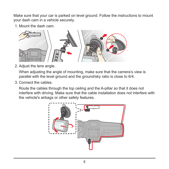Make sure that your car is parked on level ground. Follow the instructions to mount your dash cam in a vehicle securely.

1. Mount the dash cam.



2. Adjust the lens angle.

When adjusting the angle of mounting, make sure that the camera's view is parallel with the level ground and the ground/sky ratio is close to 6/4.

3. Connect the cables.

Route the cables through the top ceiling and the A-pillar so that it does not interfere with driving. Make sure that the cable installation does not interfere with the vehicle's airbags or other safety features.

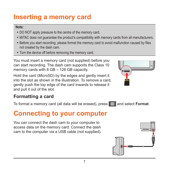# **Inserting a memory card**

#### **Note:**

- DO NOT apply pressure to the centre of the memory card.
- MiTAC does not quarantee the product's compatibility with memory cards from all manufacturers.
- Before you start recording, please format the memory card to avoid malfunction caused by files not created by the dash cam.
- Turn the device off before removing the memory card.

You must insert a memory card (not supplied) before you can start recording. The dash cam supports the Class 10 memory cards with 8 GB – 128 GB capacity.

Hold the card (MicroSD) by the edges and gently insert it into the slot as shown in the illustration. To remove a card, gently push the top edge of the card inwards to release it and pull it out of the slot.



### **Formatting a card**

To format a memory card (all data will be erased), press  $\equiv$  and select **Format**.

### **Connecting to your computer**

You can connect the dash cam to your computer to access data on the memory card. Connect the dash cam to the computer via a USB cable (not supplied).

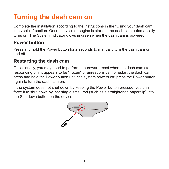# **Turning the dash cam on**

Complete the installation according to the instructions in the "Using your dash cam in a vehicle" section. Once the vehicle engine is started, the dash cam automatically turns on. The System indicator glows in green when the dash cam is powered.

### **Power button**

Press and hold the Power button for 2 seconds to manually turn the dash cam on and off.

### **Restarting the dash cam**

Occasionally, you may need to perform a hardware reset when the dash cam stops responding or if it appears to be "frozen" or unresponsive. To restart the dash cam, press and hold the Power button until the system powers off; press the Power button again to turn the dash cam on.

If the system does not shut down by keeping the Power button pressed, you can force it to shut down by inserting a small rod (such as a straightened paperclip) into the Shutdown button on the device.

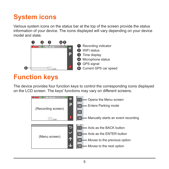# **System icons**

Various system icons on the status bar at the top of the screen provide the status information of your device. The icons displayed will vary depending on your device model and state.



## **Function keys**

The device provides four function keys to control the corresponding icons displayed on the LCD screen. The keys' functions may vary on different screens.

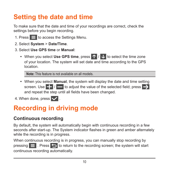# **Setting the date and time**

To make sure that the date and time of your recordings are correct, check the settings before you begin recording.

- 1. Press  $\equiv$  to access the Settings Menu.
- 2. Select **System** > **Date/Time**.
- 3. Select **Use GPS time** or **Manual**:
	- When you select **Use GPS time**, press **1**  $\frac{1}{2}$  to select the time zone of your location. The system will set date and time according to the GPS location.

**Note:** This feature is not available on all models.

- When you select **Manual**, the system will display the date and time setting screen. Use  $\left\lfloor \frac{1}{2} \right\rfloor$  to adjust the value of the selected field; press  $\left\lfloor \frac{1}{2} \right\rfloor$ and repeat the step until all fields have been changed.
- 4. When done, press  $\vee$ .

# **Recording in driving mode**

### **Continuous recording**

By default, the system will automatically begin with continuous recording in a few seconds after start-up. The System indicator flashes in green and amber alternately while the recording is in progress.

When continuous recording is in progress, you can manually stop recording by pressing  $\equiv$  . Press  $\blacktriangleright$  to return to the recording screen; the system will start continuous recording automatically.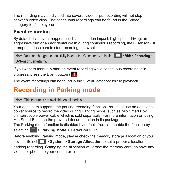The recording may be divided into several video clips; recording will not stop between video clips. The continuous recordings can be found in the "Video" category for file playback.

### **Event recording**

By default, if an event happens such as a sudden impact, high speed driving, an aggressive turn or an accidental crash during continuous recording, the G sensor will prompt the dash cam to start recording the event.

| Note: You can change the sensitivity level of the G sensor by selecting $\blacktriangleright$ > Video Recording > |  |
|-------------------------------------------------------------------------------------------------------------------|--|
| <b>G-Sensor Sensitivity.</b>                                                                                      |  |

If you want to manually start an event recording while continuous recording is in progress, press the Event button  $\left(\begin{array}{c} 1 \\ 1 \end{array}\right)$ .

The event recordings can be found in the "Event" category for file playback.

### **Recording in Parking mode**

**Note:** This feature is not available on all models.

Your dash cam supports the parking recording function. You must use an additional power source to record the video during Parking mode, such as Mio Smart Box uninterruptible power cable which is sold separately. For more information on using Mio Smart Box, see the provided documentation in its package.

The Parking mode function is disabled by default. You can enable the function by selecting > **Parking Mode** > **Detection** > **On**.

Before enabling Parking mode, please check the memory storage allocation of your device. Select > **System** > **Storage Allocation** to set a proper allocation for parking recording. Changing the allocation will erase the memory card, so save any videos or photos to your computer first.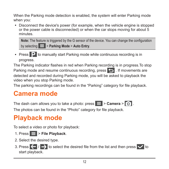When the Parking mode detection is enabled, the system will enter Parking mode when you:

• Disconnect the device's power (for example, when the vehicle engine is stopped or the power cable is disconnected) or when the car stops moving for about 5 minutes.

**Note:** The feature is triggered by the G sensor of the device. You can change the configuration by selecting > **Parking Mode** > **Auto Entry**.

• Press  $\mathbf{P}$  to manually start Parking mode while continuous recording is in progress.

The Parking indicator flashes in red when Parking recording is in progress.To stop Parking mode and resume continuous recording, press  $\Box$ . If movements are detected and recorded during Parking mode, you will be asked to playback the video when you stop Parking mode.

The parking recordings can be found in the "Parking" category for file playback.

### **Camera mode**

The dash cam allows you to take a photo: press  $\mathbf{E}$  > **Camera** >  $\mathbf{0}$ .

The photos can be found in the "Photo" category for file playback.

### **Playback mode**

To select a video or photo for playback:

- 1. Press  $\equiv$  > File Playback.
- 2. Select the desired type.
- 3. Press  $\left\langle \left\langle \right\rangle \right\rangle$  to select the desired file from the list and then press  $\left\langle \right\rangle$  to start playback.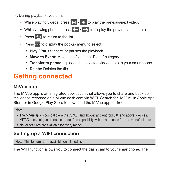- 4. During playback, you can:
	- While playing videos, press  $\mathbf{K}$  /  $\mathbf{N}$  to play the previous/next video.
	- While viewing photos, press  $\left\langle \cdot\right\rangle$  to display the previous/next photo.
	- Press  $\bigcirc$  to return to the list.
	- Press cod to display the pop-up menu to select:
		- **Play / Pause:** Starts or pauses the playback.
		- Move to Event: Moves the file to the "Event" category.
		- **Transfer to phone:** Uploads the selected video/photo to your smartphone.
		- **Delete:** Deletes the file

### **Getting connected**

### **MiVue app**

The MiVue app is an integrated application that allows you to share and back up the videos recorded on a MiVue dash cam via WIFI. Search for "MiVue" in Apple App Store or in Google Play Store to download the MiVue app for free.

#### **Note:**

- The MiVue app is compatible with iOS 9.0 (and above) and Android 5.0 (and above) devices. MiTAC does not guarantee the product's compatibility with smartphones from all manufacturers.
- Not all features are available for every model.

### **Setting up a WIFI connection**

**Note:** This feature is not available on all models.

The WIFI function allows you to connect the dash cam to your smartphone. The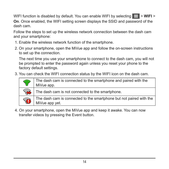WIFI function is disabled by default. You can enable WIFI by selecting  $\blacktriangleright$  **WIFI** > **On**. Once enabled, the WIFI setting screen displays the SSID and password of the dash cam.

Follow the steps to set up the wireless network connection between the dash cam and your smartphone:

- 1. Enable the wireless network function of the smartphone.
- 2. On your smartphone, open the MiVue app and follow the on-screen instructions to set up the connection.

The next time you use your smartphone to connect to the dash cam, you will not be prompted to enter the password again unless you reset your phone to the factory default settings.

3. You can check the WIFI connection status by the WIFI icon on the dash cam.

| ති        | The dash cam is connected to the smartphone and paired with the<br>MiVue app.         |
|-----------|---------------------------------------------------------------------------------------|
| <u>କ୍</u> | The dash cam is not connected to the smartphone.                                      |
| Ô         | The dash cam is connected to the smartphone but not paired with the<br>MiVue app yet. |

4. On your smartphone, open the MiVue app and keep it awake. You can now transfer videos by pressing the Event button.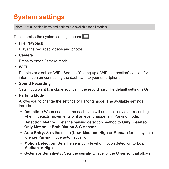# **System settings**

**Note:** Not all setting items and options are available for all models.

To customise the system settings, press  $\equiv$ .

<sup>l</sup> **File Playback** 

Plays the recorded videos and photos.

<sup>l</sup> **Camera**

Press to enter Camera mode.

<sup>l</sup> **WIFI**

Enables or disables WIFI. See the "Setting up a WIFI connection" section for information on connecting the dash cam to your smartphone.

#### <sup>l</sup> **Sound Recording**

Sets if you want to include sounds in the recordings. The default setting is **On**.

#### <sup>l</sup> **Parking Mode**

Allows you to change the settings of Parking mode. The available settings include:

- **Detection:** When enabled, the dash cam will automatically start recording when it detects movements or if an event happens in Parking mode.
- <sup>l</sup> **Detection Method:** Sets the parking detection method to **Only G-sensor**, **Only Motion** or **Both Motion & G-sensor**.
- <sup>l</sup> **Auto Entry:** Sets the mode (**Low**, **Medium**, **High** or **Manual**) for the system to enter Parking mode automatically.
- **Motion Detection:** Sets the sensitivity level of motion detection to Low, **Medium** or **High**.
- **· G-Sensor Sensitivity:** Sets the sensitivity level of the G sensor that allows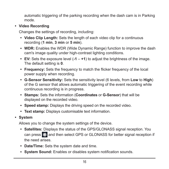automatic triggering of the parking recording when the dash cam is in Parking mode.

#### <sup>l</sup> **Video Recording**

Changes the settings of recording, including:

- <sup>l</sup> **Video Clip Length:** Sets the length of each video clip for a continuous recording (**1 min**, **3 min** or **5 min**).
- **WDR:** Enables the WDR (Wide Dynamic Range) function to improve the dash cam's image quality under high-contrast lighting conditions.
- <sup>l</sup> **EV:** Sets the exposure level (**-1** – **+1**) to adjust the brightness of the image. The default setting is **0**.
- Frequency: Sets the frequency to match the flicker frequency of the local power supply when recording.
- <sup>l</sup> **G-Sensor Sensitivity:** Sets the sensitivity level (6 levels, from **Low** to **High**) of the G sensor that allows automatic triggering of the event recording while continuous recording is in progress.
- <sup>l</sup> **Stamps:** Sets the information (**Coordinates** or **G-Sensor**) that will be displayed on the recorded video.
- **Speed stamp:** Displays the driving speed on the recorded video.
- **Text stamp:** Displays customisable text information.
- <sup>l</sup> **System**

Allows you to change the system settings of the device.

- **· Satellites:** Displays the status of the GPS/GLONASS signal reception. You can press to: and then select GPS or GLONASS for better signal reception if the need arises.
- **Date/Time:** Sets the system date and time.
- **System Sound:** Enables or disables system notification sounds.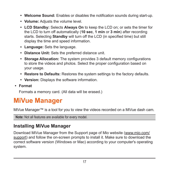- Welcome Sound: Enables or disables the notification sounds during start-up.
- **Volume:** Adjusts the volume level.
- **LCD Standby:** Selects **Always On** to keep the LCD on; or sets the timer for the LCD to turn off automatically (**10 sec**, **1 min** or **3 min**) after recording starts. Selecting **Standby** will turn off the LCD (in specified time) but still display the time and speed information.
- **Language:** Sets the language.
- **Distance Unit:** Sets the preferred distance unit.
- **Storage Allocation:** The system provides 3 default memory configurations to store the videos and photos. Select the proper configuration based on your usage.
- **Restore to Defaults:** Restores the system settings to the factory defaults.
- **Version:** Displays the software information.
- <sup>l</sup> **Format**

Formats a memory card. (All data will be erased.)

### **MiVue Manager**

MiVue Manager™ is a tool for you to view the videos recorded on a MiVue dash cam.

```
Note: Not all features are available for every model.
```
### **Installing MiVue Manager**

Download MiVue Manager from the Support page of Mio website (www.mio.com/ support) and follow the on-screen prompts to install it. Make sure to download the correct software version (Windows or Mac) according to your computer's operating system.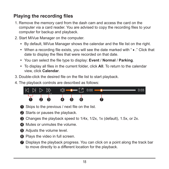### **Playing the recording files**

- 1. Remove the memory card from the dash cam and access the card on the computer via a card reader. You are advised to copy the recording files to your computer for backup and playback.
- 2. Start MiVue Manager on the computer.
	- $\cdot$  By default, MiVue Manager shows the calendar and the file list on the right.
	- $\bullet$  When a recording file exists, you will see the date marked with " $\bullet$ ," Click that date to display the files that were recorded on that date.
	- <sup>l</sup> You can select the file type to display: **Event** / **Normal** / **Parking**.
	- To display all files in the current folder, click **All**. To return to the calendar view, click **Calendar**.
- 3. Double-click the desired file on the file list to start playback.
- 4. The playback controls are described as follows:



- **1** Skips to the previous / next file on the list.
- <sup>2</sup> Starts or pauses the playback.
- 3 Changes the playback speed to 1/4x, 1/2x, 1x (default), 1.5x, or 2x.
- **4** Mutes or unmutes the volume.
- **6** Adjusts the volume level.
- **6** Plays the video in full screen.
- **2** Displays the playback progress. You can click on a point along the track bar to move directly to a different location for the playback.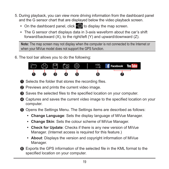- 5. During playback, you can view more driving information from the dashboard panel and the G sensor chart that are displayed below the video playback screen.
	- On the dashboard panel, click  $\langle \uparrow \rangle$  to display the map screen.
	- The G sensor chart displays data in 3-axis waveform about the car's shift forward/backward (X), to the right/left (Y) and upward/downward (Z).

**Note:** The map screen may not display when the computer is not connected to the Internet or when your MiVue model does not support the GPS function.

6. The tool bar allows you to do the following:



- **1** Selects the folder that stores the recording files.
- 2 Previews and prints the current video image.
- <sup>3</sup> Saves the selected files to the specified location on your computer.
- 4 Captures and saves the current video image to the specified location on your computer.
- **6** Opens the Settings Menu. The Settings items are described as follows:
	- **Change Language:** Sets the display language of MiVue Manager.
	- **Change Skin:** Sets the colour scheme of MiVue Manager.
	- **Check for Update:** Checks if there is any new version of MiVue Manager. (Internet access is required for this feature.)
	- **About:** Displays the version and copyright information of MiVue Manager.
- 6 Exports the GPS information of the selected file in the KML format to the specified location on your computer.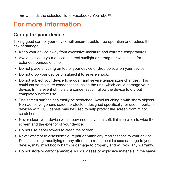7 Uploads the selected file to Facebook / YouTube™.

### **For more information**

### **Caring for your device**

Taking good care of your device will ensure trouble-free operation and reduce the risk of damage.

- Keep your device away from excessive moisture and extreme temperatures.
- Avoid exposing your device to direct sunlight or strong ultraviolet light for extended periods of time.
- Do not place anything on top of your device or drop objects on your device.
- Do not drop your device or subject it to severe shock.
- Do not subject your device to sudden and severe temperature changes. This could cause moisture condensation inside the unit, which could damage your device. In the event of moisture condensation, allow the device to dry out completely before use.
- The screen surface can easily be scratched. Avoid touching it with sharp objects. Non-adhesive generic screen protectors designed specifically for use on portable devices with LCD panels may be used to help protect the screen from minor scratches.
- Never clean your device with it powered on. Use a soft, lint-free cloth to wipe the screen and the exterior of your device.
- Do not use paper towels to clean the screen.
- Never attempt to disassemble, repair or make any modifications to your device. Disassembling, modifying or any attempt to repair could cause damage to your device, may inflict bodily harm or damage to property and will void any warranty.
- Do not store or carry flammable liquids, gases or explosive materials in the same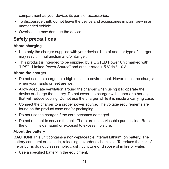compartment as your device, its parts or accessories.

- To discourage theft, do not leave the device and accessories in plain view in an unattended vehicle.
- Overheating may damage the device.

### **Safety precautions**

### **About charging**

- Use only the charger supplied with your device. Use of another type of charger may result in malfunction and/or danger.
- This product is intended to be supplied by a LISTED Power Unit marked with "LPS", "Limited Power Source" and output rated + 5 V dc / 1.0 A.

### **About the charger**

- Do not use the charger in a high moisture environment. Never touch the charger when your hands or feet are wet.
- Allow adequate ventilation around the charger when using it to operate the device or charge the battery. Do not cover the charger with paper or other objects that will reduce cooling. Do not use the charger while it is inside a carrying case.
- Connect the charger to a proper power source. The voltage requirements are found on the product case and/or packaging.
- Do not use the charger if the cord becomes damaged.
- Do not attempt to service the unit. There are no serviceable parts inside. Replace the unit if it is damaged or exposed to excess moisture.

### **About the battery**

**CAUTION!** This unit contains a non-replaceable internal Lithium Ion battery. The battery can burst or explode, releasing hazardous chemicals. To reduce the risk of fire or burns do not disassemble, crush, puncture or dispose of in fire or water.

• Use a specified battery in the equipment.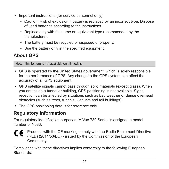- Important instructions (for service personnel only)
	- Caution! Risk of explosion if battery is replaced by an incorrect type. Dispose of used batteries according to the instructions.
	- Replace only with the same or equivalent type recommended by the manufacturer.
	- The battery must be recycled or disposed of properly.
	- Use the battery only in the specified equipment.

### **About GPS**

**Note:** This feature is not available on all models.

- GPS is operated by the United States government, which is solely responsible for the performance of GPS. Any change to the GPS system can affect the accuracy of all GPS equipment.
- <sup>l</sup> GPS satellite signals cannot pass through solid materials (except glass). When you are inside a tunnel or building, GPS positioning is not available. Signal reception can be affected by situations such as bad weather or dense overhead obstacles (such as trees, tunnels, viaducts and tall buildings).
- The GPS positioning data is for reference only.

### **Regulatory information**

For regulatory identification purposes, MiVue 730 Series is assigned a model number of N583.

Products with the CE marking comply with the Radio Equipment Directive CE (RED) (2014/53/EU) - issued by the Commission of the European Community.

Compliance with these directives implies conformity to the following European Standards: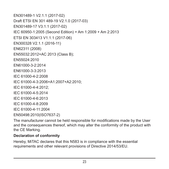EN301489-1 V2.1.1 (2017-02) Draft FTSI FN 301 489-19 V2.1.0 (2017-03) EN301489-17 V3.1.1 (2017-02) IEC 60950-1:2005 (Second Edition) + Am 1:2009 + Am 2:2013 ETSI EN 303413 V1.1.1 (2017-06) EN300328 V2.1.1 (2016-11) EN62311 (2008) EN55032:2012+AC 2013 (Class B); EN55024:2010 EN61000-3-2:2014 EN61000-3-3:2013 IEC 61000-4-2:2008 IEC 61000-4-3:2006+A1:2007+A2:2010; IEC 61000-4-4:2012; IEC 61000-4-5:2014 IEC 61000-4-6:2013 IEC 61000-4-8:2009 IEC 61000-4-11:2004 EN50498:2010(ISO7637-2)

The manufacturer cannot be held responsible for modifications made by the User and the consequences thereof, which may alter the conformity of the product with the CE Marking.

#### **Declaration of conformity**

Hereby, MiTAC declares that this N583 is in compliance with the essential requirements and other relevant provisions of Directive 2014/53/EU.